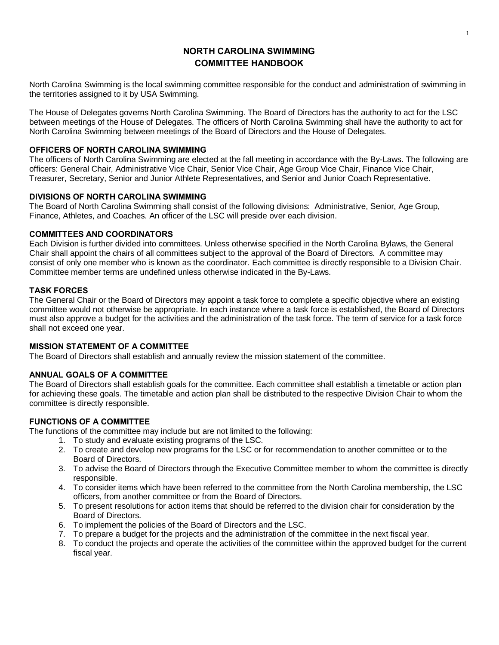# **NORTH CAROLINA SWIMMING COMMITTEE HANDBOOK**

North Carolina Swimming is the local swimming committee responsible for the conduct and administration of swimming in the territories assigned to it by USA Swimming.

The House of Delegates governs North Carolina Swimming. The Board of Directors has the authority to act for the LSC between meetings of the House of Delegates. The officers of North Carolina Swimming shall have the authority to act for North Carolina Swimming between meetings of the Board of Directors and the House of Delegates.

## **OFFICERS OF NORTH CAROLINA SWIMMING**

The officers of North Carolina Swimming are elected at the fall meeting in accordance with the By-Laws. The following are officers: General Chair, Administrative Vice Chair, Senior Vice Chair, Age Group Vice Chair, Finance Vice Chair, Treasurer, Secretary, Senior and Junior Athlete Representatives, and Senior and Junior Coach Representative.

### **DIVISIONS OF NORTH CAROLINA SWIMMING**

The Board of North Carolina Swimming shall consist of the following divisions: Administrative, Senior, Age Group, Finance, Athletes, and Coaches. An officer of the LSC will preside over each division.

### **COMMITTEES AND COORDINATORS**

Each Division is further divided into committees. Unless otherwise specified in the North Carolina Bylaws, the General Chair shall appoint the chairs of all committees subject to the approval of the Board of Directors. A committee may consist of only one member who is known as the coordinator. Each committee is directly responsible to a Division Chair. Committee member terms are undefined unless otherwise indicated in the By-Laws.

## **TASK FORCES**

The General Chair or the Board of Directors may appoint a task force to complete a specific objective where an existing committee would not otherwise be appropriate. In each instance where a task force is established, the Board of Directors must also approve a budget for the activities and the administration of the task force. The term of service for a task force shall not exceed one year.

## **MISSION STATEMENT OF A COMMITTEE**

The Board of Directors shall establish and annually review the mission statement of the committee.

## **ANNUAL GOALS OF A COMMITTEE**

The Board of Directors shall establish goals for the committee. Each committee shall establish a timetable or action plan for achieving these goals. The timetable and action plan shall be distributed to the respective Division Chair to whom the committee is directly responsible.

## **FUNCTIONS OF A COMMITTEE**

The functions of the committee may include but are not limited to the following:

- 1. To study and evaluate existing programs of the LSC.
- 2. To create and develop new programs for the LSC or for recommendation to another committee or to the Board of Directors.
- 3. To advise the Board of Directors through the Executive Committee member to whom the committee is directly responsible.
- 4. To consider items which have been referred to the committee from the North Carolina membership, the LSC officers, from another committee or from the Board of Directors.
- 5. To present resolutions for action items that should be referred to the division chair for consideration by the Board of Directors.
- 6. To implement the policies of the Board of Directors and the LSC.
- 7. To prepare a budget for the projects and the administration of the committee in the next fiscal year.
- 8. To conduct the projects and operate the activities of the committee within the approved budget for the current fiscal year.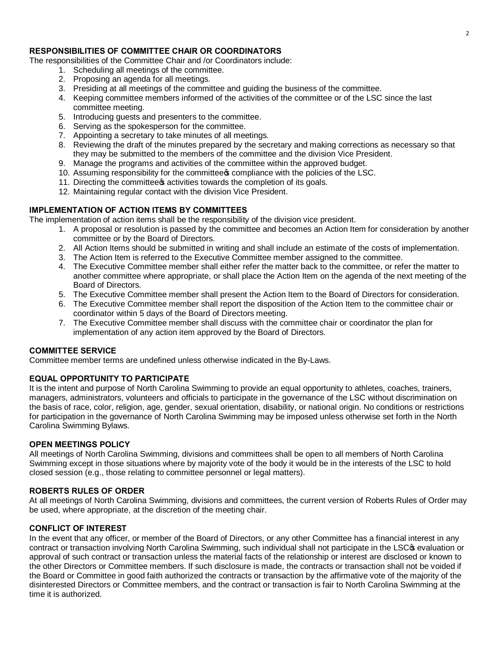## **RESPONSIBILITIES OF COMMITTEE CHAIR OR COORDINATORS**

The responsibilities of the Committee Chair and /or Coordinators include:

- 1. Scheduling all meetings of the committee.
- 2. Proposing an agenda for all meetings.
- 3. Presiding at all meetings of the committee and guiding the business of the committee.
- 4. Keeping committee members informed of the activities of the committee or of the LSC since the last committee meeting.
- 5. Introducing guests and presenters to the committee.
- 6. Serving as the spokesperson for the committee.
- 7. Appointing a secretary to take minutes of all meetings.
- 8. Reviewing the draft of the minutes prepared by the secretary and making corrections as necessary so that they may be submitted to the members of the committee and the division Vice President.
- 9. Manage the programs and activities of the committee within the approved budget.
- 10. Assuming responsibility for the committee  $\infty$  compliance with the policies of the LSC.
- 11. Directing the committee a activities towards the completion of its goals.
- 12. Maintaining regular contact with the division Vice President.

### **IMPLEMENTATION OF ACTION ITEMS BY COMMITTEES**

The implementation of action items shall be the responsibility of the division vice president.

- 1. A proposal or resolution is passed by the committee and becomes an Action Item for consideration by another committee or by the Board of Directors.
- 2. All Action Items should be submitted in writing and shall include an estimate of the costs of implementation.
- 3. The Action Item is referred to the Executive Committee member assigned to the committee.
- 4. The Executive Committee member shall either refer the matter back to the committee, or refer the matter to another committee where appropriate, or shall place the Action Item on the agenda of the next meeting of the Board of Directors.
- 5. The Executive Committee member shall present the Action Item to the Board of Directors for consideration.
- 6. The Executive Committee member shall report the disposition of the Action Item to the committee chair or coordinator within 5 days of the Board of Directors meeting.
- 7. The Executive Committee member shall discuss with the committee chair or coordinator the plan for implementation of any action item approved by the Board of Directors.

#### **COMMITTEE SERVICE**

Committee member terms are undefined unless otherwise indicated in the By-Laws.

#### **EQUAL OPPORTUNITY TO PARTICIPATE**

It is the intent and purpose of North Carolina Swimming to provide an equal opportunity to athletes, coaches, trainers, managers, administrators, volunteers and officials to participate in the governance of the LSC without discrimination on the basis of race, color, religion, age, gender, sexual orientation, disability, or national origin. No conditions or restrictions for participation in the governance of North Carolina Swimming may be imposed unless otherwise set forth in the North Carolina Swimming Bylaws.

#### **OPEN MEETINGS POLICY**

All meetings of North Carolina Swimming, divisions and committees shall be open to all members of North Carolina Swimming except in those situations where by majority vote of the body it would be in the interests of the LSC to hold closed session (e.g., those relating to committee personnel or legal matters).

#### **ROBERTS RULES OF ORDER**

At all meetings of North Carolina Swimming, divisions and committees, the current version of Roberts Rules of Order may be used, where appropriate, at the discretion of the meeting chair.

## **CONFLICT OF INTEREST**

In the event that any officer, or member of the Board of Directors, or any other Committee has a financial interest in any contract or transaction involving North Carolina Swimming, such individual shall not participate in the LSC $\phi$  evaluation or approval of such contract or transaction unless the material facts of the relationship or interest are disclosed or known to the other Directors or Committee members. If such disclosure is made, the contracts or transaction shall not be voided if the Board or Committee in good faith authorized the contracts or transaction by the affirmative vote of the majority of the disinterested Directors or Committee members, and the contract or transaction is fair to North Carolina Swimming at the time it is authorized.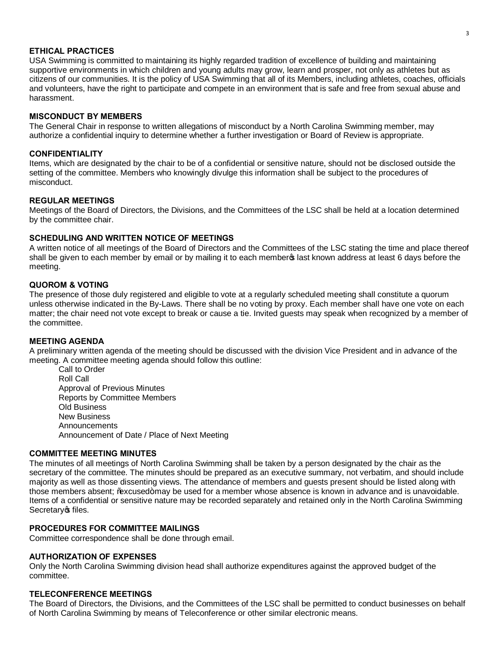#### **ETHICAL PRACTICES**

USA Swimming is committed to maintaining its highly regarded tradition of excellence of building and maintaining supportive environments in which children and young adults may grow, learn and prosper, not only as athletes but as citizens of our communities. It is the policy of USA Swimming that all of its Members, including athletes, coaches, officials and volunteers, have the right to participate and compete in an environment that is safe and free from sexual abuse and harassment.

#### **MISCONDUCT BY MEMBERS**

The General Chair in response to written allegations of misconduct by a North Carolina Swimming member, may authorize a confidential inquiry to determine whether a further investigation or Board of Review is appropriate.

#### **CONFIDENTIALITY**

Items, which are designated by the chair to be of a confidential or sensitive nature, should not be disclosed outside the setting of the committee. Members who knowingly divulge this information shall be subject to the procedures of misconduct.

#### **REGULAR MEETINGS**

Meetings of the Board of Directors, the Divisions, and the Committees of the LSC shall be held at a location determined by the committee chair.

#### **SCHEDULING AND WRITTEN NOTICE OF MEETINGS**

A written notice of all meetings of the Board of Directors and the Committees of the LSC stating the time and place thereof shall be given to each member by email or by mailing it to each member alst known address at least 6 days before the meeting.

#### **QUOROM & VOTING**

The presence of those duly registered and eligible to vote at a regularly scheduled meeting shall constitute a quorum unless otherwise indicated in the By-Laws. There shall be no voting by proxy. Each member shall have one vote on each matter; the chair need not vote except to break or cause a tie. Invited guests may speak when recognized by a member of the committee.

#### **MEETING AGENDA**

A preliminary written agenda of the meeting should be discussed with the division Vice President and in advance of the meeting. A committee meeting agenda should follow this outline:

Call to Order Roll Call Approval of Previous Minutes Reports by Committee Members Old Business New Business **Announcements** Announcement of Date / Place of Next Meeting

#### **COMMITTEE MEETING MINUTES**

The minutes of all meetings of North Carolina Swimming shall be taken by a person designated by the chair as the secretary of the committee. The minutes should be prepared as an executive summary, not verbatim, and should include majority as well as those dissenting views. The attendance of members and guests present should be listed along with those members absent; % x cused+may be used for a member whose absence is known in advance and is unavoidable. Items of a confidential or sensitive nature may be recorded separately and retained only in the North Carolina Swimming Secretary of files.

#### **PROCEDURES FOR COMMITTEE MAILINGS**

Committee correspondence shall be done through email.

### **AUTHORIZATION OF EXPENSES**

Only the North Carolina Swimming division head shall authorize expenditures against the approved budget of the committee.

#### **TELECONFERENCE MEETINGS**

The Board of Directors, the Divisions, and the Committees of the LSC shall be permitted to conduct businesses on behalf of North Carolina Swimming by means of Teleconference or other similar electronic means.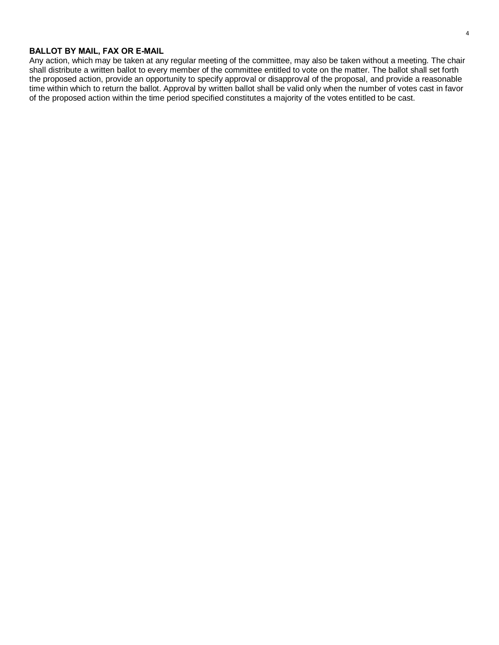## **BALLOT BY MAIL, FAX OR E-MAIL**

Any action, which may be taken at any regular meeting of the committee, may also be taken without a meeting. The chair shall distribute a written ballot to every member of the committee entitled to vote on the matter. The ballot shall set forth the proposed action, provide an opportunity to specify approval or disapproval of the proposal, and provide a reasonable time within which to return the ballot. Approval by written ballot shall be valid only when the number of votes cast in favor of the proposed action within the time period specified constitutes a majority of the votes entitled to be cast.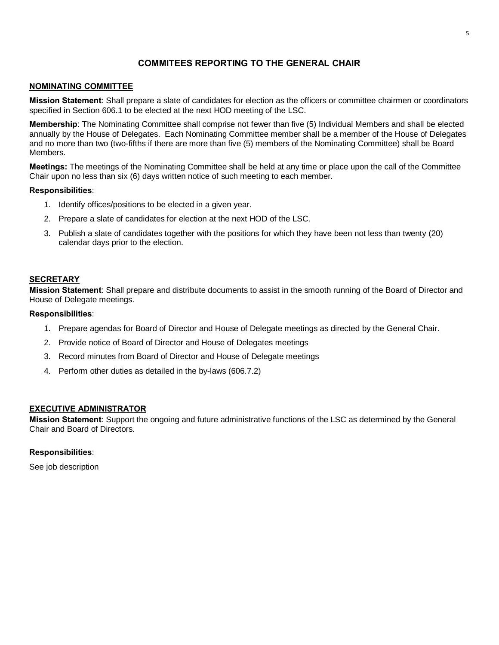# **COMMITEES REPORTING TO THE GENERAL CHAIR**

### **NOMINATING COMMITTEE**

**Mission Statement**: Shall prepare a slate of candidates for election as the officers or committee chairmen or coordinators specified in Section 606.1 to be elected at the next HOD meeting of the LSC.

**Membership**: The Nominating Committee shall comprise not fewer than five (5) Individual Members and shall be elected annually by the House of Delegates. Each Nominating Committee member shall be a member of the House of Delegates and no more than two (two-fifths if there are more than five (5) members of the Nominating Committee) shall be Board Members.

**Meetings:** The meetings of the Nominating Committee shall be held at any time or place upon the call of the Committee Chair upon no less than six (6) days written notice of such meeting to each member.

#### **Responsibilities**:

- 1. Identify offices/positions to be elected in a given year.
- 2. Prepare a slate of candidates for election at the next HOD of the LSC.
- 3. Publish a slate of candidates together with the positions for which they have been not less than twenty (20) calendar days prior to the election.

### **SECRETARY**

**Mission Statement**: Shall prepare and distribute documents to assist in the smooth running of the Board of Director and House of Delegate meetings.

#### **Responsibilities**:

- 1. Prepare agendas for Board of Director and House of Delegate meetings as directed by the General Chair.
- 2. Provide notice of Board of Director and House of Delegates meetings
- 3. Record minutes from Board of Director and House of Delegate meetings
- 4. Perform other duties as detailed in the by-laws (606.7.2)

#### **EXECUTIVE ADMINISTRATOR**

**Mission Statement**: Support the ongoing and future administrative functions of the LSC as determined by the General Chair and Board of Directors.

#### **Responsibilities**:

See job description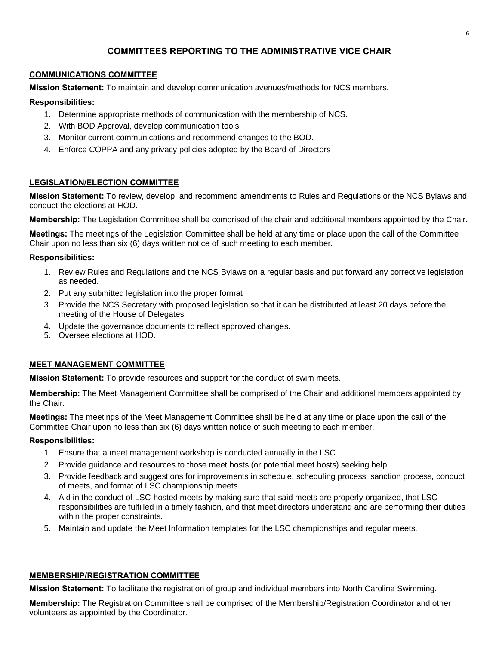# **COMMITTEES REPORTING TO THE ADMINISTRATIVE VICE CHAIR**

## **COMMUNICATIONS COMMITTEE**

**Mission Statement:** To maintain and develop communication avenues/methods for NCS members.

### **Responsibilities:**

- 1. Determine appropriate methods of communication with the membership of NCS.
- 2. With BOD Approval, develop communication tools.
- 3. Monitor current communications and recommend changes to the BOD.
- 4. Enforce COPPA and any privacy policies adopted by the Board of Directors

## **LEGISLATION/ELECTION COMMITTEE**

**Mission Statement:** To review, develop, and recommend amendments to Rules and Regulations or the NCS Bylaws and conduct the elections at HOD.

**Membership:** The Legislation Committee shall be comprised of the chair and additional members appointed by the Chair.

**Meetings:** The meetings of the Legislation Committee shall be held at any time or place upon the call of the Committee Chair upon no less than six (6) days written notice of such meeting to each member.

## **Responsibilities:**

- 1. Review Rules and Regulations and the NCS Bylaws on a regular basis and put forward any corrective legislation as needed.
- 2. Put any submitted legislation into the proper format
- 3. Provide the NCS Secretary with proposed legislation so that it can be distributed at least 20 days before the meeting of the House of Delegates.
- 4. Update the governance documents to reflect approved changes.
- 5. Oversee elections at HOD.

## **MEET MANAGEMENT COMMITTEE**

**Mission Statement:** To provide resources and support for the conduct of swim meets.

**Membership:** The Meet Management Committee shall be comprised of the Chair and additional members appointed by the Chair.

**Meetings:** The meetings of the Meet Management Committee shall be held at any time or place upon the call of the Committee Chair upon no less than six (6) days written notice of such meeting to each member.

#### **Responsibilities:**

- 1. Ensure that a meet management workshop is conducted annually in the LSC.
- 2. Provide guidance and resources to those meet hosts (or potential meet hosts) seeking help.
- 3. Provide feedback and suggestions for improvements in schedule, scheduling process, sanction process, conduct of meets, and format of LSC championship meets.
- 4. Aid in the conduct of LSC-hosted meets by making sure that said meets are properly organized, that LSC responsibilities are fulfilled in a timely fashion, and that meet directors understand and are performing their duties within the proper constraints.
- 5. Maintain and update the Meet Information templates for the LSC championships and regular meets.

## **MEMBERSHIP/REGISTRATION COMMITTEE**

**Mission Statement:** To facilitate the registration of group and individual members into North Carolina Swimming.

**Membership:** The Registration Committee shall be comprised of the Membership/Registration Coordinator and other volunteers as appointed by the Coordinator.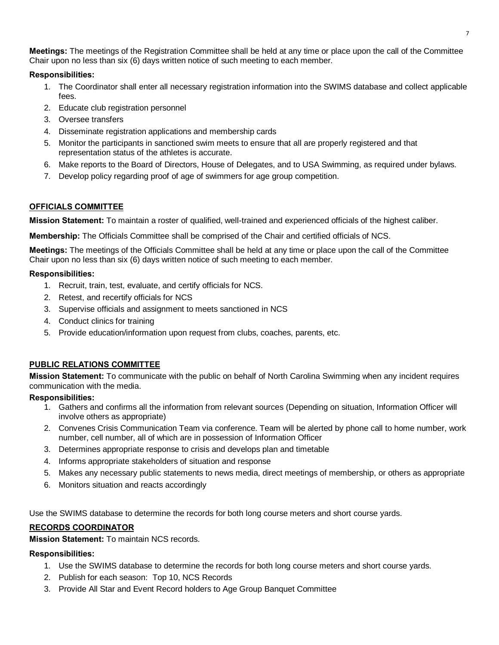**Meetings:** The meetings of the Registration Committee shall be held at any time or place upon the call of the Committee Chair upon no less than six (6) days written notice of such meeting to each member.

## **Responsibilities:**

- 1. The Coordinator shall enter all necessary registration information into the SWIMS database and collect applicable fees.
- 2. Educate club registration personnel
- 3. Oversee transfers
- 4. Disseminate registration applications and membership cards
- 5. Monitor the participants in sanctioned swim meets to ensure that all are properly registered and that representation status of the athletes is accurate.
- 6. Make reports to the Board of Directors, House of Delegates, and to USA Swimming, as required under bylaws.
- 7. Develop policy regarding proof of age of swimmers for age group competition.

# **OFFICIALS COMMITTEE**

**Mission Statement:** To maintain a roster of qualified, well-trained and experienced officials of the highest caliber.

**Membership:** The Officials Committee shall be comprised of the Chair and certified officials of NCS.

**Meetings:** The meetings of the Officials Committee shall be held at any time or place upon the call of the Committee Chair upon no less than six (6) days written notice of such meeting to each member.

# **Responsibilities:**

- 1. Recruit, train, test, evaluate, and certify officials for NCS.
- 2. Retest, and recertify officials for NCS
- 3. Supervise officials and assignment to meets sanctioned in NCS
- 4. Conduct clinics for training
- 5. Provide education/information upon request from clubs, coaches, parents, etc.

# **PUBLIC RELATIONS COMMITTEE**

**Mission Statement:** To communicate with the public on behalf of North Carolina Swimming when any incident requires communication with the media.

# **Responsibilities:**

- 1. Gathers and confirms all the information from relevant sources (Depending on situation, Information Officer will involve others as appropriate)
- 2. Convenes Crisis Communication Team via conference. Team will be alerted by phone call to home number, work number, cell number, all of which are in possession of Information Officer
- 3. Determines appropriate response to crisis and develops plan and timetable
- 4. Informs appropriate stakeholders of situation and response
- 5. Makes any necessary public statements to news media, direct meetings of membership, or others as appropriate
- 6. Monitors situation and reacts accordingly

Use the SWIMS database to determine the records for both long course meters and short course yards.

# **RECORDS COORDINATOR**

**Mission Statement:** To maintain NCS records.

- 1. Use the SWIMS database to determine the records for both long course meters and short course yards.
- 2. Publish for each season: Top 10, NCS Records
- 3. Provide All Star and Event Record holders to Age Group Banquet Committee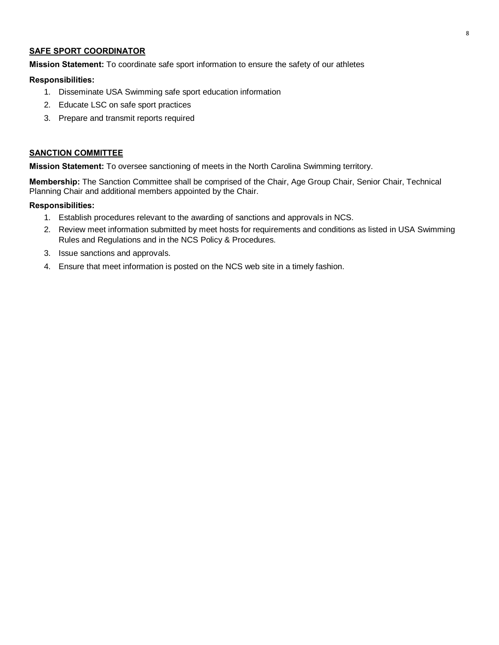### **SAFE SPORT COORDINATOR**

**Mission Statement:** To coordinate safe sport information to ensure the safety of our athletes

#### **Responsibilities:**

- 1. Disseminate USA Swimming safe sport education information
- 2. Educate LSC on safe sport practices
- 3. Prepare and transmit reports required

#### **SANCTION COMMITTEE**

**Mission Statement:** To oversee sanctioning of meets in the North Carolina Swimming territory.

**Membership:** The Sanction Committee shall be comprised of the Chair, Age Group Chair, Senior Chair, Technical Planning Chair and additional members appointed by the Chair.

- 1. Establish procedures relevant to the awarding of sanctions and approvals in NCS.
- 2. Review meet information submitted by meet hosts for requirements and conditions as listed in USA Swimming Rules and Regulations and in the NCS Policy & Procedures.
- 3. Issue sanctions and approvals.
- 4. Ensure that meet information is posted on the NCS web site in a timely fashion.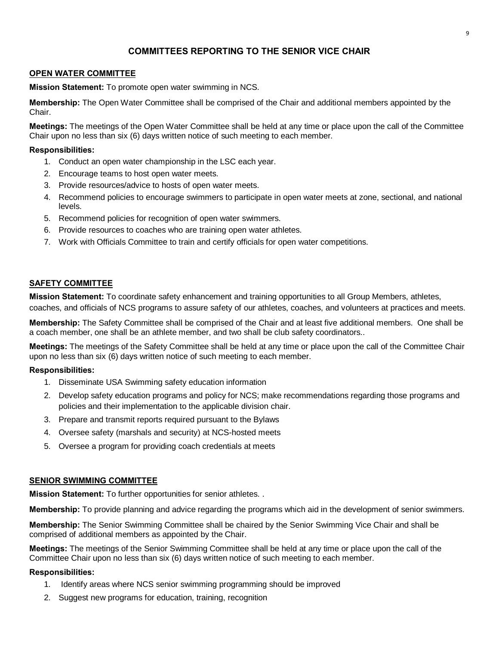# **COMMITTEES REPORTING TO THE SENIOR VICE CHAIR**

## **OPEN WATER COMMITTEE**

**Mission Statement:** To promote open water swimming in NCS.

**Membership:** The Open Water Committee shall be comprised of the Chair and additional members appointed by the Chair.

**Meetings:** The meetings of the Open Water Committee shall be held at any time or place upon the call of the Committee Chair upon no less than six (6) days written notice of such meeting to each member.

### **Responsibilities:**

- 1. Conduct an open water championship in the LSC each year.
- 2. Encourage teams to host open water meets.
- 3. Provide resources/advice to hosts of open water meets.
- 4. Recommend policies to encourage swimmers to participate in open water meets at zone, sectional, and national levels.
- 5. Recommend policies for recognition of open water swimmers.
- 6. Provide resources to coaches who are training open water athletes.
- 7. Work with Officials Committee to train and certify officials for open water competitions.

### **SAFETY COMMITTEE**

**Mission Statement:** To coordinate safety enhancement and training opportunities to all Group Members, athletes, coaches, and officials of NCS programs to assure safety of our athletes, coaches, and volunteers at practices and meets.

**Membership:** The Safety Committee shall be comprised of the Chair and at least five additional members. One shall be a coach member, one shall be an athlete member, and two shall be club safety coordinators..

**Meetings:** The meetings of the Safety Committee shall be held at any time or place upon the call of the Committee Chair upon no less than six (6) days written notice of such meeting to each member.

## **Responsibilities:**

- 1. Disseminate USA Swimming safety education information
- 2. Develop safety education programs and policy for NCS; make recommendations regarding those programs and policies and their implementation to the applicable division chair.
- 3. Prepare and transmit reports required pursuant to the Bylaws
- 4. Oversee safety (marshals and security) at NCS-hosted meets
- 5. Oversee a program for providing coach credentials at meets

#### **SENIOR SWIMMING COMMITTEE**

**Mission Statement:** To further opportunities for senior athletes. .

**Membership:** To provide planning and advice regarding the programs which aid in the development of senior swimmers.

**Membership:** The Senior Swimming Committee shall be chaired by the Senior Swimming Vice Chair and shall be comprised of additional members as appointed by the Chair.

**Meetings:** The meetings of the Senior Swimming Committee shall be held at any time or place upon the call of the Committee Chair upon no less than six (6) days written notice of such meeting to each member.

- 1. Identify areas where NCS senior swimming programming should be improved
- 2. Suggest new programs for education, training, recognition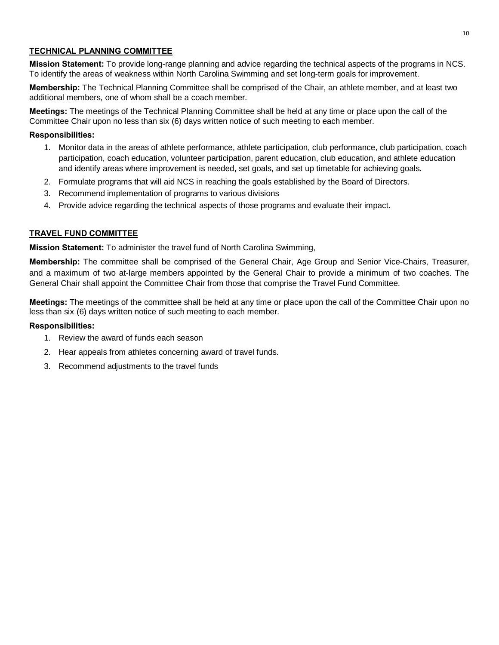## **TECHNICAL PLANNING COMMITTEE**

**Mission Statement:** To provide long-range planning and advice regarding the technical aspects of the programs in NCS. To identify the areas of weakness within North Carolina Swimming and set long-term goals for improvement.

**Membership:** The Technical Planning Committee shall be comprised of the Chair, an athlete member, and at least two additional members, one of whom shall be a coach member.

**Meetings:** The meetings of the Technical Planning Committee shall be held at any time or place upon the call of the Committee Chair upon no less than six (6) days written notice of such meeting to each member.

### **Responsibilities:**

- 1. Monitor data in the areas of athlete performance, athlete participation, club performance, club participation, coach participation, coach education, volunteer participation, parent education, club education, and athlete education and identify areas where improvement is needed, set goals, and set up timetable for achieving goals.
- 2. Formulate programs that will aid NCS in reaching the goals established by the Board of Directors.
- 3. Recommend implementation of programs to various divisions
- 4. Provide advice regarding the technical aspects of those programs and evaluate their impact.

## **TRAVEL FUND COMMITTEE**

**Mission Statement:** To administer the travel fund of North Carolina Swimming,

**Membership:** The committee shall be comprised of the General Chair, Age Group and Senior Vice-Chairs, Treasurer, and a maximum of two at-large members appointed by the General Chair to provide a minimum of two coaches. The General Chair shall appoint the Committee Chair from those that comprise the Travel Fund Committee.

**Meetings:** The meetings of the committee shall be held at any time or place upon the call of the Committee Chair upon no less than six (6) days written notice of such meeting to each member.

- 1. Review the award of funds each season
- 2. Hear appeals from athletes concerning award of travel funds.
- 3. Recommend adjustments to the travel funds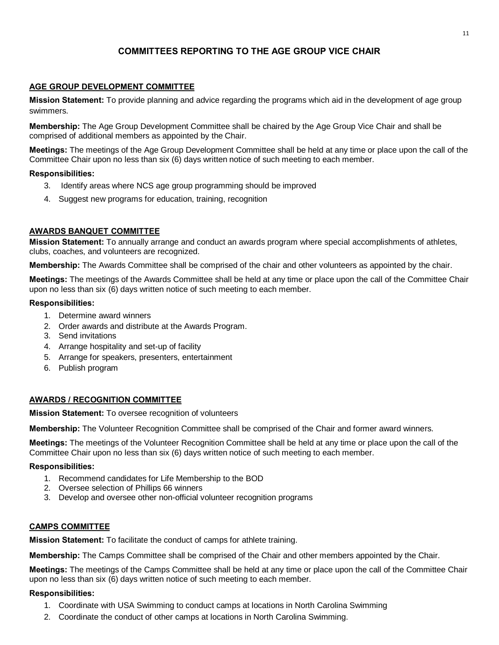# **COMMITTEES REPORTING TO THE AGE GROUP VICE CHAIR**

## **AGE GROUP DEVELOPMENT COMMITTEE**

**Mission Statement:** To provide planning and advice regarding the programs which aid in the development of age group swimmers.

**Membership:** The Age Group Development Committee shall be chaired by the Age Group Vice Chair and shall be comprised of additional members as appointed by the Chair.

**Meetings:** The meetings of the Age Group Development Committee shall be held at any time or place upon the call of the Committee Chair upon no less than six (6) days written notice of such meeting to each member.

### **Responsibilities:**

- 3. Identify areas where NCS age group programming should be improved
- 4. Suggest new programs for education, training, recognition

## **AWARDS BANQUET COMMITTEE**

**Mission Statement:** To annually arrange and conduct an awards program where special accomplishments of athletes, clubs, coaches, and volunteers are recognized.

**Membership:** The Awards Committee shall be comprised of the chair and other volunteers as appointed by the chair.

**Meetings:** The meetings of the Awards Committee shall be held at any time or place upon the call of the Committee Chair upon no less than six (6) days written notice of such meeting to each member.

### **Responsibilities:**

- 1. Determine award winners
- 2. Order awards and distribute at the Awards Program.
- 3. Send invitations
- 4. Arrange hospitality and set-up of facility
- 5. Arrange for speakers, presenters, entertainment
- 6. Publish program

## **AWARDS / RECOGNITION COMMITTEE**

#### **Mission Statement:** To oversee recognition of volunteers

**Membership:** The Volunteer Recognition Committee shall be comprised of the Chair and former award winners.

**Meetings:** The meetings of the Volunteer Recognition Committee shall be held at any time or place upon the call of the Committee Chair upon no less than six (6) days written notice of such meeting to each member.

#### **Responsibilities:**

- 1. Recommend candidates for Life Membership to the BOD
- 2. Oversee selection of Phillips 66 winners
- 3. Develop and oversee other non-official volunteer recognition programs

## **CAMPS COMMITTEE**

**Mission Statement:** To facilitate the conduct of camps for athlete training.

**Membership:** The Camps Committee shall be comprised of the Chair and other members appointed by the Chair.

**Meetings:** The meetings of the Camps Committee shall be held at any time or place upon the call of the Committee Chair upon no less than six (6) days written notice of such meeting to each member.

- 1. Coordinate with USA Swimming to conduct camps at locations in North Carolina Swimming
- 2. Coordinate the conduct of other camps at locations in North Carolina Swimming.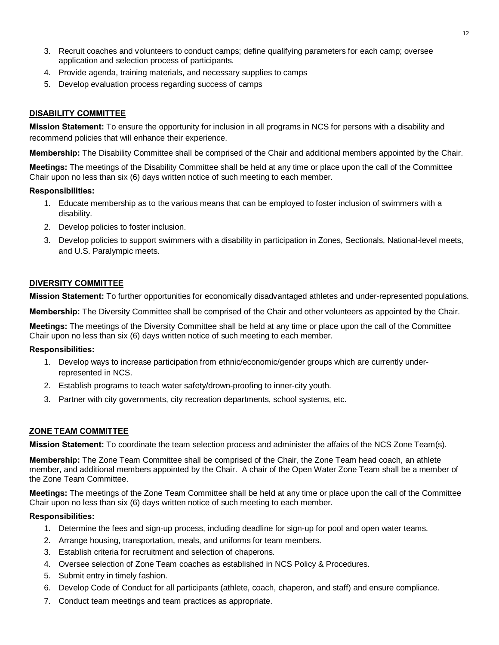- 3. Recruit coaches and volunteers to conduct camps; define qualifying parameters for each camp; oversee application and selection process of participants.
- 4. Provide agenda, training materials, and necessary supplies to camps
- 5. Develop evaluation process regarding success of camps

## **DISABILITY COMMITTEE**

**Mission Statement:** To ensure the opportunity for inclusion in all programs in NCS for persons with a disability and recommend policies that will enhance their experience.

**Membership:** The Disability Committee shall be comprised of the Chair and additional members appointed by the Chair.

**Meetings:** The meetings of the Disability Committee shall be held at any time or place upon the call of the Committee Chair upon no less than six (6) days written notice of such meeting to each member.

## **Responsibilities:**

- 1. Educate membership as to the various means that can be employed to foster inclusion of swimmers with a disability.
- 2. Develop policies to foster inclusion.
- 3. Develop policies to support swimmers with a disability in participation in Zones, Sectionals, National-level meets, and U.S. Paralympic meets.

## **DIVERSITY COMMITTEE**

**Mission Statement:** To further opportunities for economically disadvantaged athletes and under-represented populations.

**Membership:** The Diversity Committee shall be comprised of the Chair and other volunteers as appointed by the Chair.

**Meetings:** The meetings of the Diversity Committee shall be held at any time or place upon the call of the Committee Chair upon no less than six (6) days written notice of such meeting to each member.

#### **Responsibilities:**

- 1. Develop ways to increase participation from ethnic/economic/gender groups which are currently underrepresented in NCS.
- 2. Establish programs to teach water safety/drown-proofing to inner-city youth.
- 3. Partner with city governments, city recreation departments, school systems, etc.

## **ZONE TEAM COMMITTEE**

**Mission Statement:** To coordinate the team selection process and administer the affairs of the NCS Zone Team(s).

**Membership:** The Zone Team Committee shall be comprised of the Chair, the Zone Team head coach, an athlete member, and additional members appointed by the Chair. A chair of the Open Water Zone Team shall be a member of the Zone Team Committee.

**Meetings:** The meetings of the Zone Team Committee shall be held at any time or place upon the call of the Committee Chair upon no less than six (6) days written notice of such meeting to each member.

- 1. Determine the fees and sign-up process, including deadline for sign-up for pool and open water teams.
- 2. Arrange housing, transportation, meals, and uniforms for team members.
- 3. Establish criteria for recruitment and selection of chaperons.
- 4. Oversee selection of Zone Team coaches as established in NCS Policy & Procedures.
- 5. Submit entry in timely fashion.
- 6. Develop Code of Conduct for all participants (athlete, coach, chaperon, and staff) and ensure compliance.
- 7. Conduct team meetings and team practices as appropriate.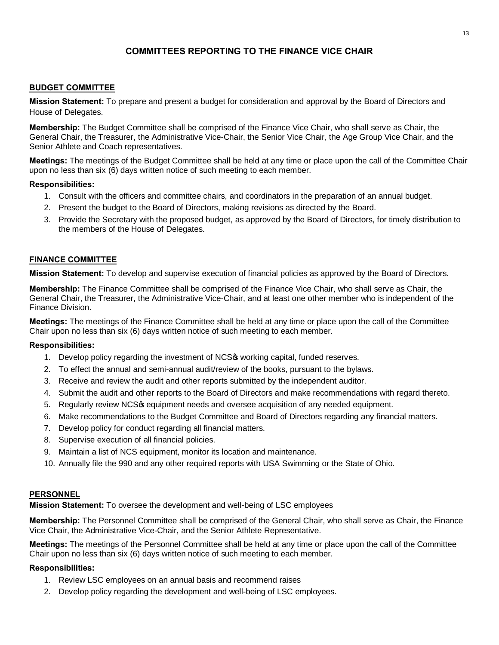# **COMMITTEES REPORTING TO THE FINANCE VICE CHAIR**

### **BUDGET COMMITTEE**

**Mission Statement:** To prepare and present a budget for consideration and approval by the Board of Directors and House of Delegates.

**Membership:** The Budget Committee shall be comprised of the Finance Vice Chair, who shall serve as Chair, the General Chair, the Treasurer, the Administrative Vice-Chair, the Senior Vice Chair, the Age Group Vice Chair, and the Senior Athlete and Coach representatives.

**Meetings:** The meetings of the Budget Committee shall be held at any time or place upon the call of the Committee Chair upon no less than six (6) days written notice of such meeting to each member.

#### **Responsibilities:**

- 1. Consult with the officers and committee chairs, and coordinators in the preparation of an annual budget.
- 2. Present the budget to the Board of Directors, making revisions as directed by the Board.
- 3. Provide the Secretary with the proposed budget, as approved by the Board of Directors, for timely distribution to the members of the House of Delegates.

#### **FINANCE COMMITTEE**

**Mission Statement:** To develop and supervise execution of financial policies as approved by the Board of Directors.

**Membership:** The Finance Committee shall be comprised of the Finance Vice Chair, who shall serve as Chair, the General Chair, the Treasurer, the Administrative Vice-Chair, and at least one other member who is independent of the Finance Division.

**Meetings:** The meetings of the Finance Committee shall be held at any time or place upon the call of the Committee Chair upon no less than six (6) days written notice of such meeting to each member.

#### **Responsibilities:**

- 1. Develop policy regarding the investment of NCSG working capital, funded reserves.
- 2. To effect the annual and semi-annual audit/review of the books, pursuant to the bylaws.
- 3. Receive and review the audit and other reports submitted by the independent auditor.
- 4. Submit the audit and other reports to the Board of Directors and make recommendations with regard thereto.
- 5. Regularly review NCS $\phi$  equipment needs and oversee acquisition of any needed equipment.
- 6. Make recommendations to the Budget Committee and Board of Directors regarding any financial matters.
- 7. Develop policy for conduct regarding all financial matters.
- 8. Supervise execution of all financial policies.
- 9. Maintain a list of NCS equipment, monitor its location and maintenance.
- 10. Annually file the 990 and any other required reports with USA Swimming or the State of Ohio.

#### **PERSONNEL**

**Mission Statement:** To oversee the development and well-being of LSC employees

**Membership:** The Personnel Committee shall be comprised of the General Chair, who shall serve as Chair, the Finance Vice Chair, the Administrative Vice-Chair, and the Senior Athlete Representative.

**Meetings:** The meetings of the Personnel Committee shall be held at any time or place upon the call of the Committee Chair upon no less than six (6) days written notice of such meeting to each member.

- 1. Review LSC employees on an annual basis and recommend raises
- 2. Develop policy regarding the development and well-being of LSC employees.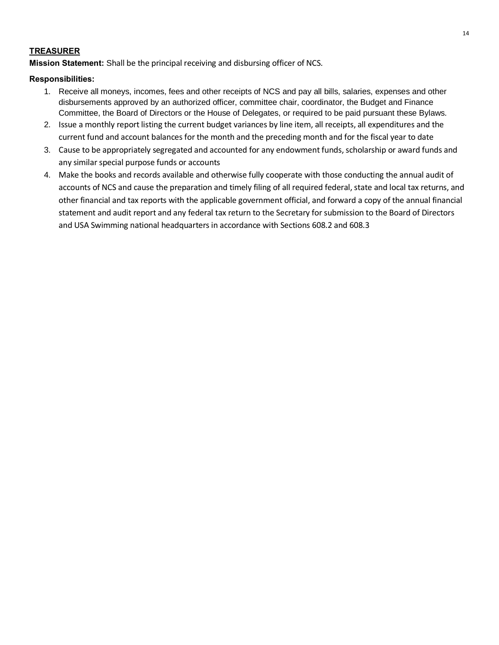## **TREASURER**

**Mission Statement:** Shall be the principal receiving and disbursing officer of NCS.

- 1. Receive all moneys, incomes, fees and other receipts of NCS and pay all bills, salaries, expenses and other disbursements approved by an authorized officer, committee chair, coordinator, the Budget and Finance Committee, the Board of Directors or the House of Delegates, or required to be paid pursuant these Bylaws.
- 2. Issue a monthly report listing the current budget variances by line item, all receipts, all expenditures and the current fund and account balances for the month and the preceding month and for the fiscal year to date
- 3. Cause to be appropriately segregated and accounted for any endowment funds, scholarship or award funds and any similar special purpose funds or accounts
- 4. Make the books and records available and otherwise fully cooperate with those conducting the annual audit of accounts of NCS and cause the preparation and timely filing of all required federal, state and local tax returns, and other financial and tax reports with the applicable government official, and forward a copy of the annual financial statement and audit report and any federal tax return to the Secretary for submission to the Board of Directors and USA Swimming national headquarters in accordance with Sections 608.2 and 608.3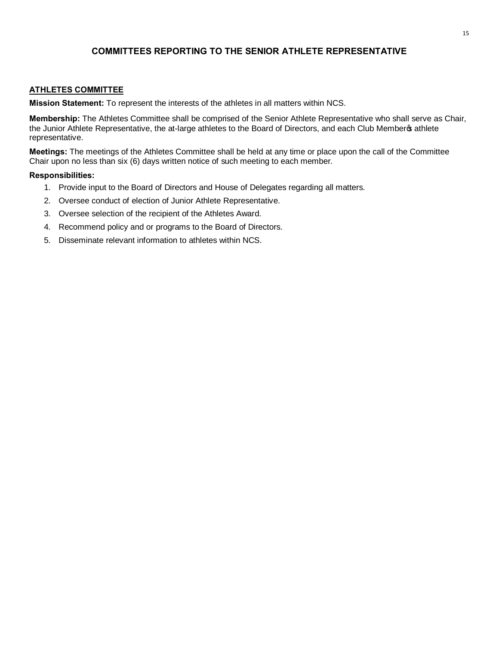# **COMMITTEES REPORTING TO THE SENIOR ATHLETE REPRESENTATIVE**

### **ATHLETES COMMITTEE**

**Mission Statement:** To represent the interests of the athletes in all matters within NCS.

**Membership:** The Athletes Committee shall be comprised of the Senior Athlete Representative who shall serve as Chair, the Junior Athlete Representative, the at-large athletes to the Board of Directors, and each Club Member of athlete representative.

**Meetings:** The meetings of the Athletes Committee shall be held at any time or place upon the call of the Committee Chair upon no less than six (6) days written notice of such meeting to each member.

- 1. Provide input to the Board of Directors and House of Delegates regarding all matters.
- 2. Oversee conduct of election of Junior Athlete Representative.
- 3. Oversee selection of the recipient of the Athletes Award.
- 4. Recommend policy and or programs to the Board of Directors.
- 5. Disseminate relevant information to athletes within NCS.